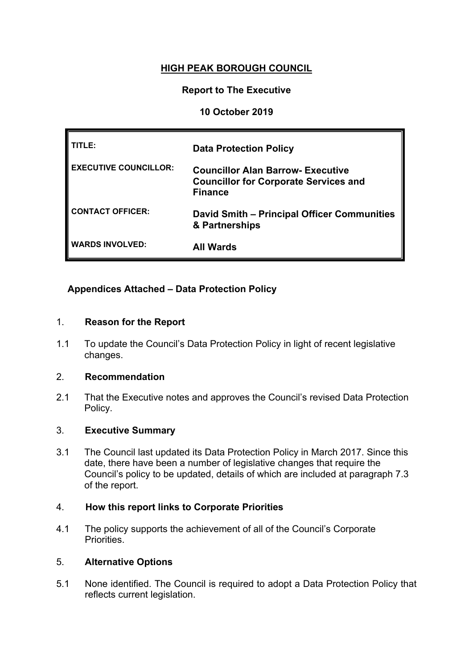# **HIGH PEAK BOROUGH COUNCIL**

# **Report to The Executive**

# **10 October 2019**

| TITLE:                       | <b>Data Protection Policy</b>                                                                              |
|------------------------------|------------------------------------------------------------------------------------------------------------|
| <b>EXECUTIVE COUNCILLOR:</b> | <b>Councillor Alan Barrow- Executive</b><br><b>Councillor for Corporate Services and</b><br><b>Finance</b> |
| <b>CONTACT OFFICER:</b>      | <b>David Smith - Principal Officer Communities</b><br>& Partnerships                                       |
| <b>WARDS INVOLVED:</b>       | <b>All Wards</b>                                                                                           |

# **Appendices Attached – Data Protection Policy**

# 1. **Reason for the Report**

1.1 To update the Council's Data Protection Policy in light of recent legislative changes.

# 2. **Recommendation**

2.1 That the Executive notes and approves the Council's revised Data Protection Policy.

# 3. **Executive Summary**

3.1 The Council last updated its Data Protection Policy in March 2017. Since this date, there have been a number of legislative changes that require the Council's policy to be updated, details of which are included at paragraph 7.3 of the report.

# 4. **How this report links to Corporate Priorities**

4.1 The policy supports the achievement of all of the Council's Corporate Priorities.

# 5. **Alternative Options**

5.1 None identified. The Council is required to adopt a Data Protection Policy that reflects current legislation.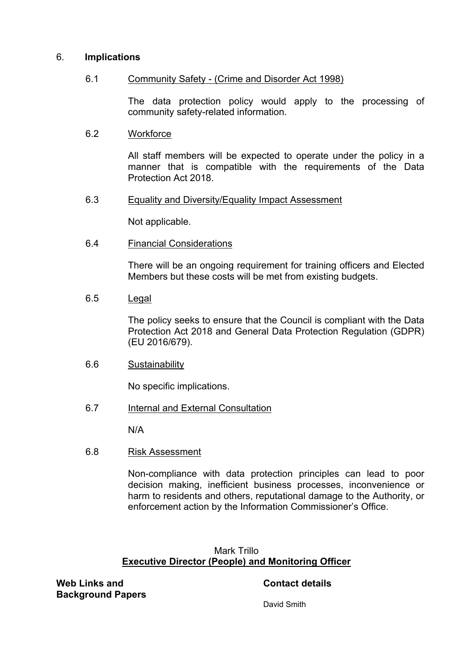### 6. **Implications**

### 6.1 Community Safety - (Crime and Disorder Act 1998)

The data protection policy would apply to the processing of community safety-related information.

### 6.2 Workforce

All staff members will be expected to operate under the policy in a manner that is compatible with the requirements of the Data Protection Act 2018.

### 6.3 Equality and Diversity/Equality Impact Assessment

Not applicable.

6.4 Financial Considerations

There will be an ongoing requirement for training officers and Elected Members but these costs will be met from existing budgets.

### 6.5 Legal

The policy seeks to ensure that the Council is compliant with the Data Protection Act 2018 and General Data Protection Regulation (GDPR) (EU 2016/679).

#### 6.6 Sustainability

No specific implications.

# 6.7 Internal and External Consultation

N/A

#### 6.8 Risk Assessment

Non-compliance with data protection principles can lead to poor decision making, inefficient business processes, inconvenience or harm to residents and others, reputational damage to the Authority, or enforcement action by the Information Commissioner's Office.

# Mark Trillo **Executive Director (People) and Monitoring Officer**

**Web Links and Background Papers**

### **Contact details**

David Smith